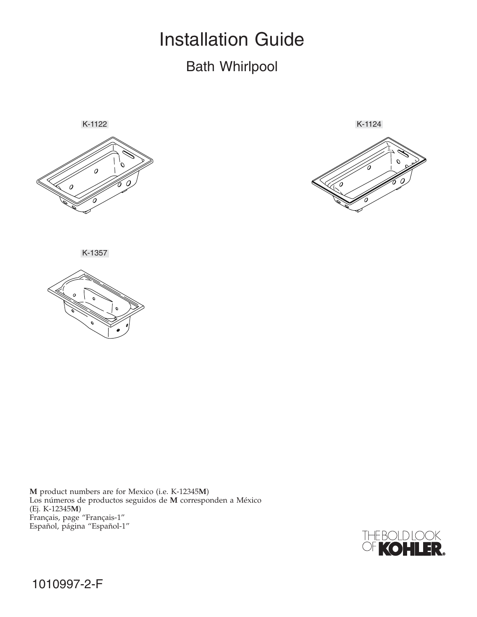# Installation Guide Bath Whirlpool





K-1357



**M** product numbers are for Mexico (i.e. K-12345**M**) Los números de productos seguidos de **M** corresponden a México (Ej. K-12345**M**) Français, page "Français-1" Español, página "Español-1"

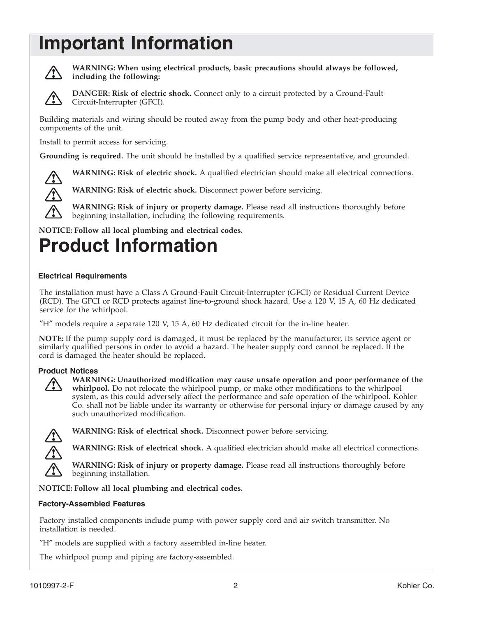# **Important Information**



**WARNING: When using electrical products, basic precautions should always be followed, including the following:**



**DANGER: Risk of electric shock.** Connect only to a circuit protected by a Ground-Fault Circuit-Interrupter (GFCI).

Building materials and wiring should be routed away from the pump body and other heat-producing components of the unit.

Install to permit access for servicing.

**Grounding is required.** The unit should be installed by a qualified service representative, and grounded.



**WARNING: Risk of electric shock.** Disconnect power before servicing.



**WARNING: Risk of injury or property damage.** Please read all instructions thoroughly before beginning installation, including the following requirements.

**WARNING: Risk of electric shock.** A qualified electrician should make all electrical connections.

**NOTICE: Follow all local plumbing and electrical codes.**

# **Product Information**

### **Electrical Requirements**

The installation must have a Class A Ground-Fault Circuit-Interrupter (GFCI) or Residual Current Device (RCD). The GFCI or RCD protects against line-to-ground shock hazard. Use a 120 V, 15 A, 60 Hz dedicated service for the whirlpool.

″H″ models require a separate 120 V, 15 A, 60 Hz dedicated circuit for the in-line heater.

**NOTE:** If the pump supply cord is damaged, it must be replaced by the manufacturer, its service agent or similarly qualified persons in order to avoid a hazard. The heater supply cord cannot be replaced. If the cord is damaged the heater should be replaced.

#### **Product Notices**



**WARNING: Unauthorized modification may cause unsafe operation and poor performance of the whirlpool.** Do not relocate the whirlpool pump, or make other modifications to the whirlpool system, as this could adversely affect the performance and safe operation of the whirlpool. Kohler Co. shall not be liable under its warranty or otherwise for personal injury or damage caused by any such unauthorized modification.



**WARNING: Risk of electrical shock.** Disconnect power before servicing.

**WARNING: Risk of electrical shock.** A qualified electrician should make all electrical connections.

**WARNING: Risk of injury or property damage.** Please read all instructions thoroughly before beginning installation.

**NOTICE: Follow all local plumbing and electrical codes.**

#### **Factory-Assembled Features**

Factory installed components include pump with power supply cord and air switch transmitter. No installation is needed.

″H″ models are supplied with a factory assembled in-line heater.

The whirlpool pump and piping are factory-assembled.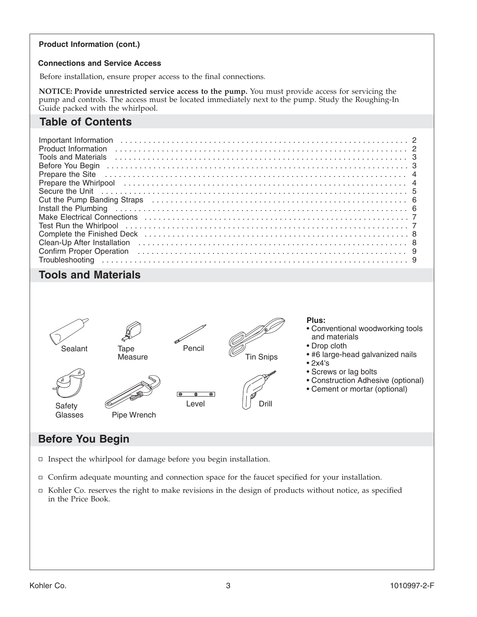#### **Product Information (cont.)**

#### **Connections and Service Access**

Before installation, ensure proper access to the final connections.

**NOTICE: Provide unrestricted service access to the pump.** You must provide access for servicing the pump and controls. The access must be located immediately next to the pump. Study the Roughing-In Guide packed with the whirlpool.

# **Table of Contents**

| Important Information                                                                                                                                                                                                          |
|--------------------------------------------------------------------------------------------------------------------------------------------------------------------------------------------------------------------------------|
|                                                                                                                                                                                                                                |
| <b>Tools and Materials</b>                                                                                                                                                                                                     |
|                                                                                                                                                                                                                                |
| Prepare the Site (all contains and contained all contains and contained all contains and contained all contains and contained all contains and contains a containing the containing of the containing of the containing of the |
| Prepare the Whirlpool (and according to the control of the control of the control of the control of the control of the control of the control of the control of the control of the control of the control of the control of th |
| Secure the Unit in the continuum of the Unit of the Unit of the Unit of the Unit of the Unit of the Unit of the Unit of the Unit of the Unit of the Unit of the Unit of the Unit of the Unit of the Unit of the Unit of the Un |
| Cut the Pump Banding Straps (and all contains and all contained and all cut the Pump Banding Straps (and all contains and all cut of the Pump Banding Straps (all contains and all contains and all cut of the Pump Banding St |
| Install the Plumbing indication contains a series of the contract of the contract of the contract of the contract of the contract of the contract of the contract of the contract of the contract of the contract of the contr |
| Make Electrical Connections (and according to the control of the control of the control of the control of the c                                                                                                                |
|                                                                                                                                                                                                                                |
|                                                                                                                                                                                                                                |
| Clean-Up After Installation (etc.) (a) and the contract of the Clean-Up After Installation (etc.) (a) and the Clean-Up After Installation (etc.) (b) and the Clean-Up After Installation (etc.) (b) and the Clean-Up After Ins |
| Confirm Proper Operation (and all contacts) and all contacts of the confirm Proper Operation (b) and the contact of the contact of the contact of the contact of the contact of the contact of the contact of the contact of t |
|                                                                                                                                                                                                                                |

## **Tools and Materials**



## **Before You Begin**

- $\Box$  Inspect the whirlpool for damage before you begin installation.
- $\Box$  Confirm adequate mounting and connection space for the faucet specified for your installation.
- $\Box$  Kohler Co. reserves the right to make revisions in the design of products without notice, as specified in the Price Book.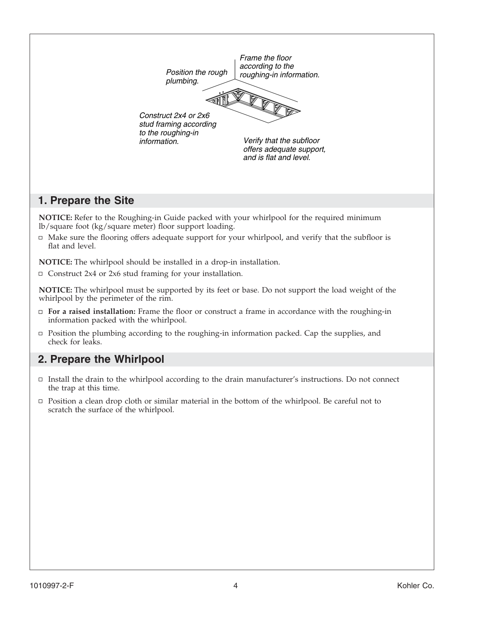

## **1. Prepare the Site**

**NOTICE:** Refer to the Roughing-in Guide packed with your whirlpool for the required minimum lb/square foot (kg/square meter) floor support loading.

 $\Box$  Make sure the flooring offers adequate support for your whirlpool, and verify that the subfloor is flat and level.

**NOTICE:** The whirlpool should be installed in a drop-in installation.

 $\Box$  Construct 2x4 or 2x6 stud framing for your installation.

**NOTICE:** The whirlpool must be supported by its feet or base. Do not support the load weight of the whirlpool by the perimeter of the rim.

- **For a raised installation:** Frame the floor or construct a frame in accordance with the roughing-in information packed with the whirlpool.
- Position the plumbing according to the roughing-in information packed. Cap the supplies, and check for leaks.

## **2. Prepare the Whirlpool**

- $\Box$  Install the drain to the whirlpool according to the drain manufacturer's instructions. Do not connect the trap at this time.
- $\Box$  Position a clean drop cloth or similar material in the bottom of the whirlpool. Be careful not to scratch the surface of the whirlpool.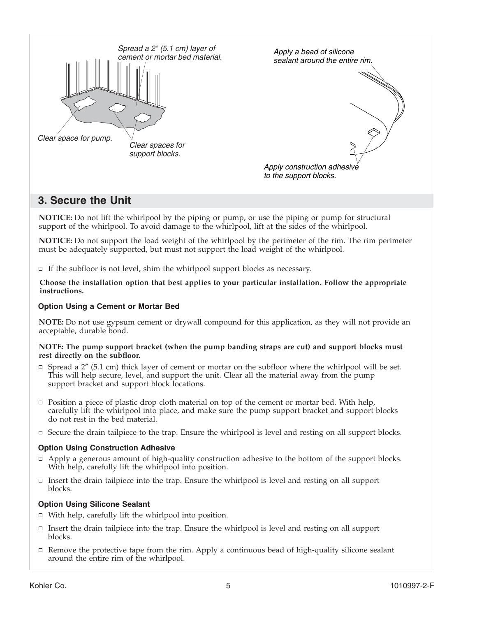

## **3. Secure the Unit**

**NOTICE:** Do not lift the whirlpool by the piping or pump, or use the piping or pump for structural support of the whirlpool. To avoid damage to the whirlpool, lift at the sides of the whirlpool.

**NOTICE:** Do not support the load weight of the whirlpool by the perimeter of the rim. The rim perimeter must be adequately supported, but must not support the load weight of the whirlpool.

 $\Box$  If the subfloor is not level, shim the whirlpool support blocks as necessary.

**Choose the installation option that best applies to your particular installation. Follow the appropriate instructions.**

#### **Option Using a Cement or Mortar Bed**

**NOTE:** Do not use gypsum cement or drywall compound for this application, as they will not provide an acceptable, durable bond.

#### **NOTE: The pump support bracket (when the pump banding straps are cut) and support blocks must rest directly on the subfloor.**

- $\Box$  Spread a 2" (5.1 cm) thick layer of cement or mortar on the subfloor where the whirlpool will be set. This will help secure, level, and support the unit. Clear all the material away from the pump support bracket and support block locations.
- $\Box$  Position a piece of plastic drop cloth material on top of the cement or mortar bed. With help, carefully lift the whirlpool into place, and make sure the pump support bracket and support blocks do not rest in the bed material.
- $\Box$  Secure the drain tailpiece to the trap. Ensure the whirlpool is level and resting on all support blocks.

#### **Option Using Construction Adhesive**

- $\Box$  Apply a generous amount of high-quality construction adhesive to the bottom of the support blocks. With help, carefully lift the whirlpool into position.
- $\Box$  Insert the drain tailpiece into the trap. Ensure the whirlpool is level and resting on all support blocks.

#### **Option Using Silicone Sealant**

- $\Box$  With help, carefully lift the whirlpool into position.
- $\Box$  Insert the drain tailpiece into the trap. Ensure the whirlpool is level and resting on all support blocks.
- $\Box$  Remove the protective tape from the rim. Apply a continuous bead of high-quality silicone sealant around the entire rim of the whirlpool.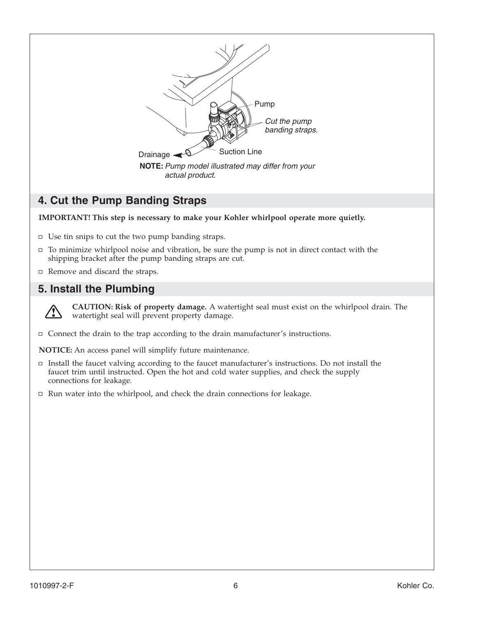

# **4. Cut the Pump Banding Straps**

**IMPORTANT! This step is necessary to make your Kohler whirlpool operate more quietly.**

- $\Box$  Use tin snips to cut the two pump banding straps.
- $\Box$  To minimize whirlpool noise and vibration, be sure the pump is not in direct contact with the shipping bracket after the pump banding straps are cut.
- $\Box$  Remove and discard the straps.

# **5. Install the Plumbing**



**CAUTION: Risk of property damage.** A watertight seal must exist on the whirlpool drain. The watertight seal will prevent property damage.

 $\Box$  Connect the drain to the trap according to the drain manufacturer's instructions.

**NOTICE:** An access panel will simplify future maintenance.

- $\Box$  Install the faucet valving according to the faucet manufacturer's instructions. Do not install the faucet trim until instructed. Open the hot and cold water supplies, and check the supply connections for leakage.
- $\Box$  Run water into the whirlpool, and check the drain connections for leakage.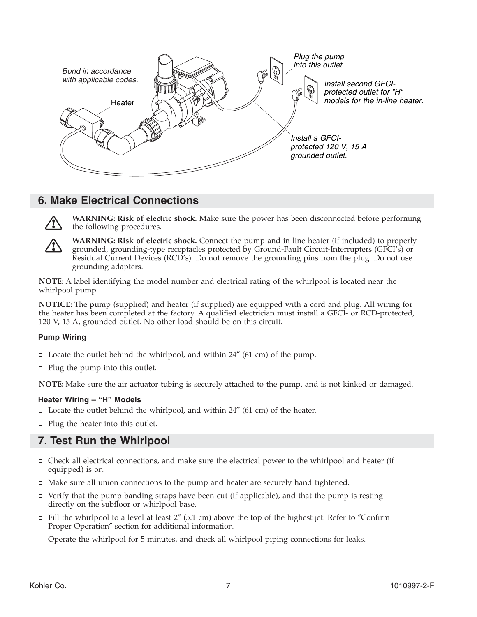

## **6. Make Electrical Connections**



**WARNING: Risk of electric shock.** Make sure the power has been disconnected before performing the following procedures.

**WARNING: Risk of electric shock.** Connect the pump and in-line heater (if included) to properly grounded, grounding-type receptacles protected by Ground-Fault Circuit-Interrupters (GFCI's) or Residual Current Devices (RCD's). Do not remove the grounding pins from the plug. Do not use grounding adapters.

**NOTE:** A label identifying the model number and electrical rating of the whirlpool is located near the whirlpool pump.

**NOTICE:** The pump (supplied) and heater (if supplied) are equipped with a cord and plug. All wiring for the heater has been completed at the factory. A qualified electrician must install a GFCI- or RCD-protected, 120 V, 15 A, grounded outlet. No other load should be on this circuit.

### **Pump Wiring**

- $\Box$  Locate the outlet behind the whirlpool, and within 24" (61 cm) of the pump.
- $\Box$  Plug the pump into this outlet.

**NOTE:** Make sure the air actuator tubing is securely attached to the pump, and is not kinked or damaged.

#### **Heater Wiring – "H" Models**

- $\Box$  Locate the outlet behind the whirlpool, and within 24" (61 cm) of the heater.
- $\Box$  Plug the heater into this outlet.

## **7. Test Run the Whirlpool**

- $\Box$  Check all electrical connections, and make sure the electrical power to the whirlpool and heater (if equipped) is on.
- $\Box$  Make sure all union connections to the pump and heater are securely hand tightened.
- $\Box$  Verify that the pump banding straps have been cut (if applicable), and that the pump is resting directly on the subfloor or whirlpool base.
- $\Box$  Fill the whirlpool to a level at least 2" (5.1 cm) above the top of the highest jet. Refer to "Confirm" Proper Operation″ section for additional information.
- Operate the whirlpool for 5 minutes, and check all whirlpool piping connections for leaks.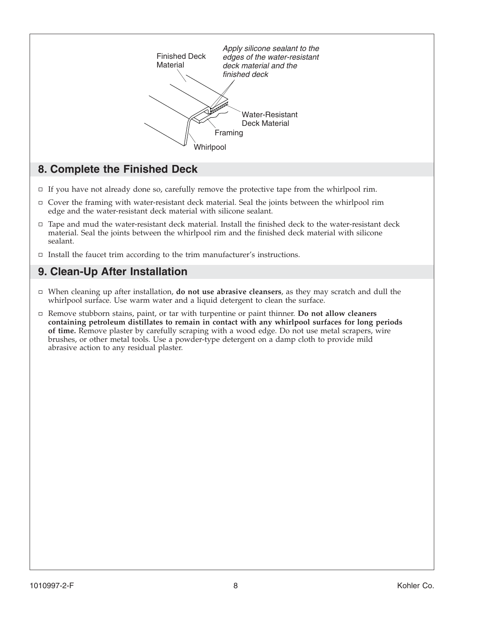

## **8. Complete the Finished Deck**

- $\Box$  If you have not already done so, carefully remove the protective tape from the whirlpool rim.
- $\Box$  Cover the framing with water-resistant deck material. Seal the joints between the whirlpool rim edge and the water-resistant deck material with silicone sealant.
- □ Tape and mud the water-resistant deck material. Install the finished deck to the water-resistant deck material. Seal the joints between the whirlpool rim and the finished deck material with silicone sealant.
- $\Box$  Install the faucet trim according to the trim manufacturer's instructions.

## **9. Clean-Up After Installation**

- When cleaning up after installation, **do not use abrasive cleansers**, as they may scratch and dull the whirlpool surface. Use warm water and a liquid detergent to clean the surface.
- Remove stubborn stains, paint, or tar with turpentine or paint thinner. **Do not allow cleaners containing petroleum distillates to remain in contact with any whirlpool surfaces for long periods of time.** Remove plaster by carefully scraping with a wood edge. Do not use metal scrapers, wire brushes, or other metal tools. Use a powder-type detergent on a damp cloth to provide mild abrasive action to any residual plaster.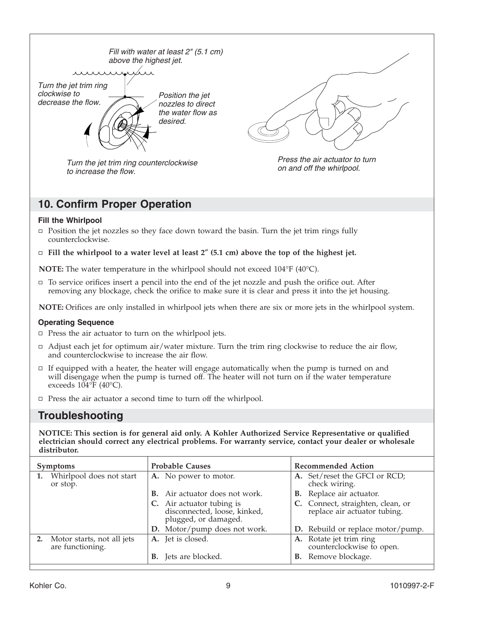

## **10. Confirm Proper Operation**

#### **Fill the Whirlpool**

- $\Box$  Position the jet nozzles so they face down toward the basin. Turn the jet trim rings fully counterclockwise.
- **Fill the whirlpool to a water level at least 2**″ **(5.1 cm) above the top of the highest jet.**

**NOTE:** The water temperature in the whirlpool should not exceed 104°F (40°C).

 $\Box$  To service orifices insert a pencil into the end of the jet nozzle and push the orifice out. After removing any blockage, check the orifice to make sure it is clear and press it into the jet housing.

**NOTE:** Orifices are only installed in whirlpool jets when there are six or more jets in the whirlpool system.

#### **Operating Sequence**

- $\Box$  Press the air actuator to turn on the whirlpool jets.
- $\Box$  Adjust each jet for optimum air/water mixture. Turn the trim ring clockwise to reduce the air flow, and counterclockwise to increase the air flow.
- $\Box$  If equipped with a heater, the heater will engage automatically when the pump is turned on and will disengage when the pump is turned off. The heater will not turn on if the water temperature exceeds  $104\text{°F}$  (40°C).
- $\Box$  Press the air actuator a second time to turn off the whirlpool.

## **Troubleshooting**

**NOTICE: This section is for general aid only. A Kohler Authorized Service Representative or qualified electrician should correct any electrical problems. For warranty service, contact your dealer or wholesale distributor.**

| <b>Symptoms</b> |                                                   | <b>Probable Causes</b> |                                                                                | <b>Recommended Action</b> |                                                                |
|-----------------|---------------------------------------------------|------------------------|--------------------------------------------------------------------------------|---------------------------|----------------------------------------------------------------|
|                 | Whirlpool does not start<br>or stop.              |                        | A. No power to motor.                                                          |                           | A. Set/reset the GFCI or RCD;<br>check wiring.                 |
|                 |                                                   | В.                     | Air actuator does not work.                                                    |                           | <b>B.</b> Replace air actuator.                                |
|                 |                                                   |                        | Air actuator tubing is<br>disconnected, loose, kinked,<br>plugged, or damaged. |                           | C. Connect, straighten, clean, or replace air actuator tubing. |
|                 |                                                   |                        | D. Motor/pump does not work.                                                   |                           | D. Rebuild or replace motor/pump.                              |
|                 | 2. Motor starts, not all jets<br>are functioning. |                        | A. Jet is closed.                                                              |                           | A. Rotate jet trim ring<br>counterclockwise to open.           |
|                 |                                                   |                        | <b>B.</b> Jets are blocked.                                                    |                           | <b>B.</b> Remove blockage.                                     |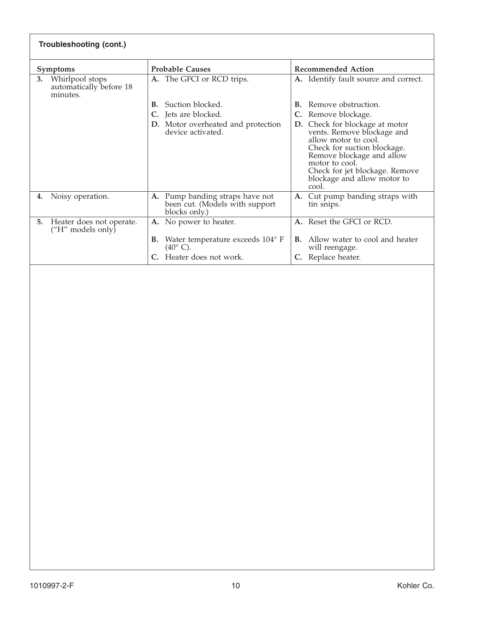| <b>Troubleshooting (cont.)</b>                               |                                                                                       |                                                                                                                                                                                                                                                 |  |  |
|--------------------------------------------------------------|---------------------------------------------------------------------------------------|-------------------------------------------------------------------------------------------------------------------------------------------------------------------------------------------------------------------------------------------------|--|--|
| <b>Symptoms</b>                                              | <b>Probable Causes</b>                                                                | <b>Recommended Action</b>                                                                                                                                                                                                                       |  |  |
| Whirlpool stops<br>3.<br>automatically before 18<br>minutes. | A. The GFCI or RCD trips.                                                             | A. Identify fault source and correct.                                                                                                                                                                                                           |  |  |
|                                                              | Suction blocked.<br>В.                                                                | Remove obstruction.<br>В.                                                                                                                                                                                                                       |  |  |
|                                                              | Jets are blocked.                                                                     | Remove blockage.                                                                                                                                                                                                                                |  |  |
|                                                              | D. Motor overheated and protection<br>device activated.                               | Check for blockage at motor<br>D.<br>vents. Remove blockage and<br>allow motor to cool.<br>Check for suction blockage.<br>Remove blockage and allow<br>motor to cool.<br>Check for jet blockage. Remove<br>blockage and allow motor to<br>cool. |  |  |
| Noisy operation.<br>4.                                       | Pump banding straps have not<br>A.<br>been cut. (Models with support<br>blocks only.) | A. Cut pump banding straps with<br>tin snips.                                                                                                                                                                                                   |  |  |
| Heater does not operate.<br>5.<br>$("H"$ models only)        | A. No power to heater.                                                                | A. Reset the GFCI or RCD.                                                                                                                                                                                                                       |  |  |
|                                                              | Water temperature exceeds 104° F<br>В.<br>$(40^{\circ} \text{ C}).$                   | Allow water to cool and heater<br>В.<br>will reengage.                                                                                                                                                                                          |  |  |
|                                                              | Heater does not work.                                                                 | C. Replace heater.                                                                                                                                                                                                                              |  |  |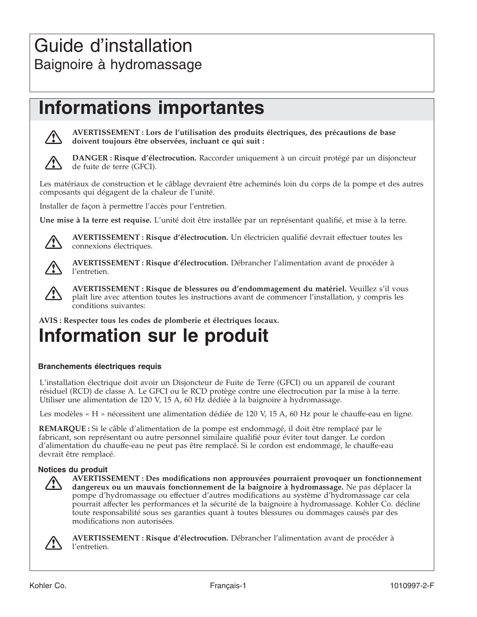# **Informations importantes**



**AVERTISSEMENT : Lors de l'utilisation des produits électriques, des précautions de base doivent toujours être observées, incluant ce qui suit :**



**DANGER : Risque d'électrocution.** Raccorder uniquement à un circuit protégé par un disjoncteur de fuite de terre (GFCI).

Les matériaux de construction et le câblage devraient être acheminés loin du corps de la pompe et des autres composants qui dégagent de la chaleur de l'unité.

Installer de façon à permettre l'accès pour l'entretien.

**Une mise à la terre est requise.** L'unité doit être installée par un représentant qualifié, et mise à la terre.



**AVERTISSEMENT : Risque d'électrocution.** Un électricien qualifié devrait effectuer toutes les connexions électriques.



**AVERTISSEMENT : Risque d'électrocution.** Débrancher l'alimentation avant de procéder à l'entretien.



**AVERTISSEMENT : Risque de blessures ou d'endommagement du matériel.** Veuillez s'il vous plaît lire avec attention toutes les instructions avant de commencer l'installation, y compris les conditions suivantes:

**AVIS : Respecter tous les codes de plomberie et électriques locaux.**

# **Information sur le produit**

#### **Branchements électriques requis**

L'installation électrique doit avoir un Disjoncteur de Fuite de Terre (GFCI) ou un appareil de courant résiduel (RCD) de classe A. Le GFCI ou le RCD protège contre une électrocution par la mise à la terre. Utiliser une alimentation de 120 V, 15 A, 60 Hz dédiée à la baignoire à hydromassage.

Les modèles « H » nécessitent une alimentation dédiée de 120 V, 15 A, 60 Hz pour le chauffe-eau en ligne.

**REMARQUE :** Si le câble d'alimentation de la pompe est endommagé, il doit être remplacé par le fabricant, son représentant ou autre personnel similaire qualifié pour éviter tout danger. Le cordon d'alimentation du chauffe-eau ne peut pas être remplacé. Si le cordon est endommagé, le chauffe-eau devrait être remplacé.

#### **Notices du produit**



**AVERTISSEMENT : Des modifications non approuvées pourraient provoquer un fonctionnement dangereux ou un mauvais fonctionnement de la baignoire à hydromassage.** Ne pas déplacer la pompe d'hydromassage ou effectuer d'autres modifications au système d'hydromassage car cela pourrait affecter les performances et la sécurité de la baignoire à hydromassage. Kohler Co. décline toute responsabilité sous ses garanties quant à toutes blessures ou dommages causés par des modifications non autorisées.



**AVERTISSEMENT : Risque d'électrocution.** Débrancher l'alimentation avant de procéder à l'entretien.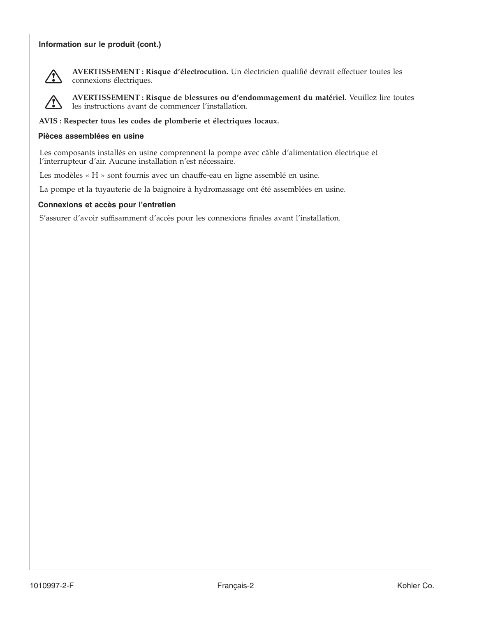#### **Information sur le produit (cont.)**



**AVERTISSEMENT : Risque d'électrocution.** Un électricien qualifié devrait effectuer toutes les connexions électriques.

**AVERTISSEMENT : Risque de blessures ou d'endommagement du matériel.** Veuillez lire toutes les instructions avant de commencer l'installation.

**AVIS : Respecter tous les codes de plomberie et électriques locaux.**

#### **Pièces assemblées en usine**

Les composants installés en usine comprennent la pompe avec câble d'alimentation électrique et l'interrupteur d'air. Aucune installation n'est nécessaire.

Les modèles«H» sont fournis avec un chauffe-eau en ligne assemblé en usine.

La pompe et la tuyauterie de la baignoire à hydromassage ont été assemblées en usine.

#### **Connexions et accès pour l'entretien**

S'assurer d'avoir suffisamment d'accès pour les connexions finales avant l'installation.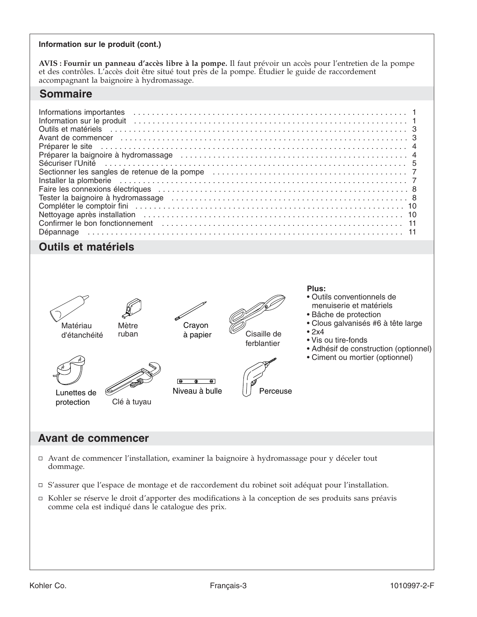#### **Information sur le produit (cont.)**

**AVIS : Fournir un panneau d'accès libre à la pompe.** Il faut prévoir un accès pour l'entretien de la pompe et des contrôles. L'accès doit être situé tout près de la pompe. Étudier le guide de raccordement accompagnant la baignoire à hydromassage.

### **Sommaire**

| Informations importantes experiences in the contract of the contract of the contract of the contract of the contract of the contract of the contract of the contract of the contract of the contract of the contract of the co       |  |
|--------------------------------------------------------------------------------------------------------------------------------------------------------------------------------------------------------------------------------------|--|
|                                                                                                                                                                                                                                      |  |
| Outils et matériels <b>container and the contact of the contact of the contact of the contact of the contact of the contact of the contact of the contact of the contact of the contact of the contact of the contact of the con</b> |  |
| Avant de commencer et al., respectively contained a series of the commencer contained a series of 3                                                                                                                                  |  |
|                                                                                                                                                                                                                                      |  |
|                                                                                                                                                                                                                                      |  |
|                                                                                                                                                                                                                                      |  |
|                                                                                                                                                                                                                                      |  |
|                                                                                                                                                                                                                                      |  |
|                                                                                                                                                                                                                                      |  |
| Tester la baignoire à hydromassage (et al., and allegeration controlled and allegeration of $8$                                                                                                                                      |  |
|                                                                                                                                                                                                                                      |  |
|                                                                                                                                                                                                                                      |  |
|                                                                                                                                                                                                                                      |  |
|                                                                                                                                                                                                                                      |  |

## **Outils et matériels**



d'étanchéité





Mètre ruban

Lunettes de protection



Crayon à papier

Niveau à bulle



ferblantier



#### **Plus:**

- Outils conventionnels de menuiserie et matériels
- Bâche de protection
- Clous galvanisés #6 à tête large
- 2x4
- Vis ou tire-fonds
- Adhésif de construction (optionnel)
- Ciment ou mortier (optionnel)

### **Avant de commencer**

- Avant de commencer l'installation, examiner la baignoire à hydromassage pour y déceler tout dommage.
- S'assurer que l'espace de montage et de raccordement du robinet soit adéquat pour l'installation.
- Kohler se réserve le droit d'apporter des modifications à la conception de ses produits sans préavis comme cela est indiqué dans le catalogue des prix.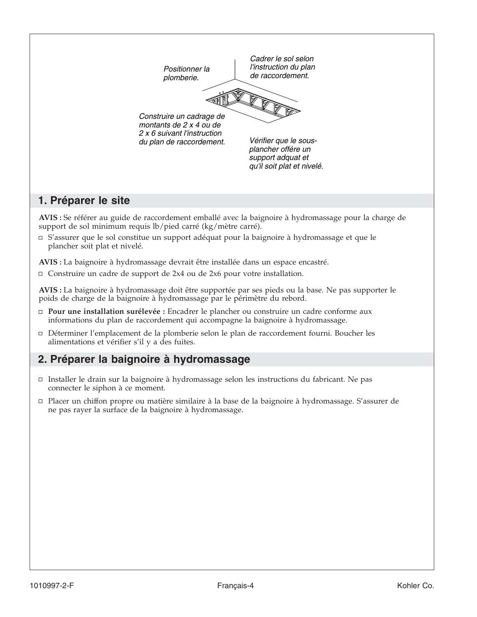

**AVIS :** Se référer au guide de raccordement emballé avec la baignoire à hydromassage pour la charge de support de sol minimum requis lb/pied carré (kg/mètre carré).

 $\Box$  S'assurer que le sol constitue un support adéquat pour la baignoire à hydromassage et que le plancher soit plat et nivelé.

**AVIS :** La baignoire à hydromassage devrait être installée dans un espace encastré.

 $\Box$  Construire un cadre de support de 2x4 ou de 2x6 pour votre installation.

**AVIS :** La baignoire à hydromassage doit être supportée par ses pieds ou la base. Ne pas supporter le poids de charge de la baignoire à hydromassage par le périmètre du rebord.

- **Pour une installation surélevée :** Encadrer le plancher ou construire un cadre conforme aux informations du plan de raccordement qui accompagne la baignoire à hydromassage.
- Déterminer l'emplacement de la plomberie selon le plan de raccordement fourni. Boucher les alimentations et vérifier s'il y a des fuites.

## **2. Préparer la baignoire à hydromassage**

- $\Box$  Installer le drain sur la baignoire à hydromassage selon les instructions du fabricant. Ne pas connecter le siphon à ce moment.
- Placer un chiffon propre ou matière similaire à la base de la baignoire à hydromassage. S'assurer de ne pas rayer la surface de la baignoire à hydromassage.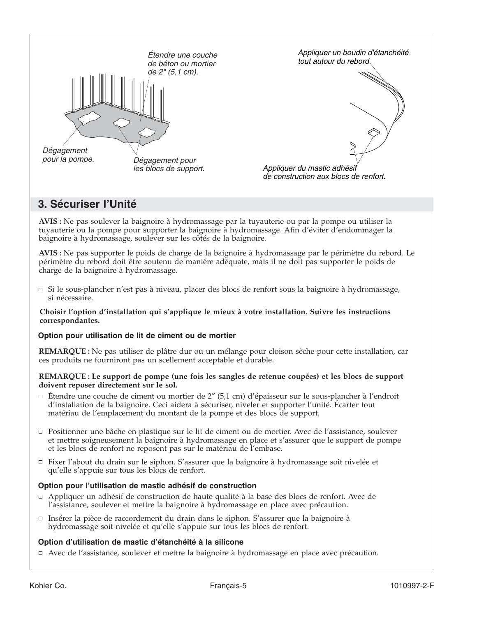

## **3. Sécuriser l'Unité**

**AVIS :** Ne pas soulever la baignoire à hydromassage par la tuyauterie ou par la pompe ou utiliser la tuyauterie ou la pompe pour supporter la baignoire à hydromassage. Afin d'éviter d'endommager la baignoire à hydromassage, soulever sur les côtés de la baignoire.

**AVIS :** Ne pas supporter le poids de charge de la baignoire à hydromassage par le périmètre du rebord. Le périmètre du rebord doit être soutenu de manière adéquate, mais il ne doit pas supporter le poids de charge de la baignoire à hydromassage.

Si le sous-plancher n'est pas à niveau, placer des blocs de renfort sous la baignoire à hydromassage, si nécessaire.

#### **Choisir l'option d'installation qui s'applique le mieux à votre installation. Suivre les instructions correspondantes.**

#### **Option pour utilisation de lit de ciment ou de mortier**

**REMARQUE :** Ne pas utiliser de plâtre dur ou un mélange pour cloison sèche pour cette installation, car ces produits ne fourniront pas un scellement acceptable et durable.

#### **REMARQUE : Le support de pompe (une fois les sangles de retenue coupées) et les blocs de support doivent reposer directement sur le sol.**

- Étendre une couche de ciment ou mortier de 2″ (5,1 cm) d'épaisseur sur le sous-plancher à l'endroit d'installation de la baignoire. Ceci aidera à sécuriser, niveler et supporter l'unité. Écarter tout matériau de l'emplacement du montant de la pompe et des blocs de support.
- Positionner une bâche en plastique sur le lit de ciment ou de mortier. Avec de l'assistance, soulever et mettre soigneusement la baignoire à hydromassage en place et s'assurer que le support de pompe et les blocs de renfort ne reposent pas sur le matériau de l'embase.
- Fixer l'about du drain sur le siphon. S'assurer que la baignoire à hydromassage soit nivelée et qu'elle s'appuie sur tous les blocs de renfort.

#### **Option pour l'utilisation de mastic adhésif de construction**

- Appliquer un adhésif de construction de haute qualité à la base des blocs de renfort. Avec de l'assistance, soulever et mettre la baignoire à hydromassage en place avec précaution.
- Insérer la pièce de raccordement du drain dans le siphon. S'assurer que la baignoire à hydromassage soit nivelée et qu'elle s'appuie sur tous les blocs de renfort.

#### **Option d'utilisation de mastic d'étanchéité à la silicone**

Avec de l'assistance, soulever et mettre la baignoire à hydromassage en place avec précaution.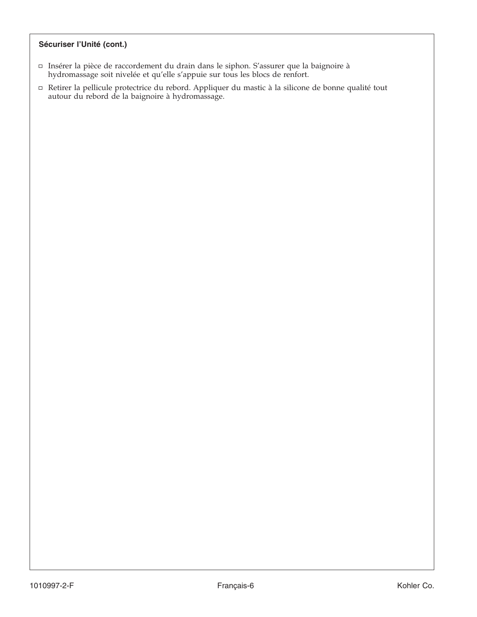#### **Sécuriser l'Unité (cont.)**

- Insérer la pièce de raccordement du drain dans le siphon. S'assurer que la baignoire à hydromassage soit nivelée et qu'elle s'appuie sur tous les blocs de renfort.
- Retirer la pellicule protectrice du rebord. Appliquer du mastic à la silicone de bonne qualité tout autour du rebord de la baignoire à hydromassage.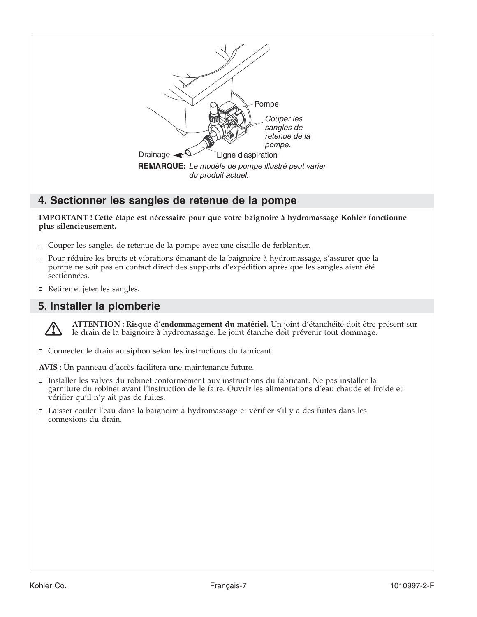

## **4. Sectionner les sangles de retenue de la pompe**

**IMPORTANT ! Cette étape est nécessaire pour que votre baignoire à hydromassage Kohler fonctionne plus silencieusement.**

- Couper les sangles de retenue de la pompe avec une cisaille de ferblantier.
- Pour réduire les bruits et vibrations émanant de la baignoire à hydromassage, s'assurer que la pompe ne soit pas en contact direct des supports d'expédition après que les sangles aient été sectionnées.
- Retirer et jeter les sangles.

## **5. Installer la plomberie**



**ATTENTION : Risque d'endommagement du matériel.** Un joint d'étanchéité doit être présent sur le drain de la baignoire à hydromassage. Le joint étanche doit prévenir tout dommage.

- Connecter le drain au siphon selon les instructions du fabricant.
- **AVIS :** Un panneau d'accès facilitera une maintenance future.
- Installer les valves du robinet conformément aux instructions du fabricant. Ne pas installer la garniture du robinet avant l'instruction de le faire. Ouvrir les alimentations d'eau chaude et froide et vérifier qu'il n'y ait pas de fuites.
- $\Box$  Laisser couler l'eau dans la baignoire à hydromassage et vérifier s'il y a des fuites dans les connexions du drain.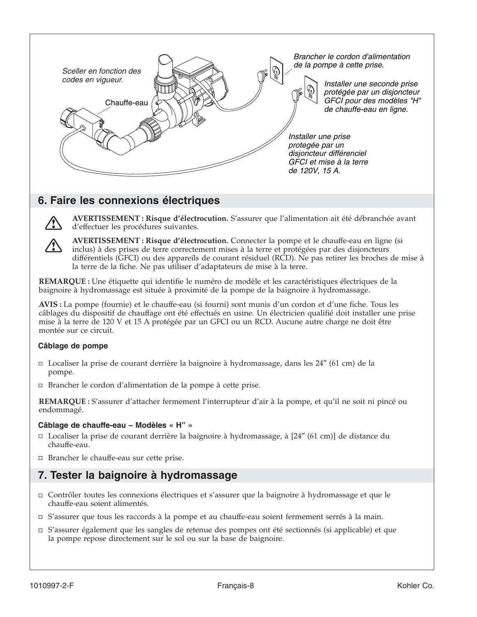

## **6. Faire les connexions électriques**



**AVERTISSEMENT : Risque d'électrocution.** S'assurer que l'alimentation ait été débranchée avant d'effectuer les procédures suivantes.

**AVERTISSEMENT : Risque d'électrocution.** Connecter la pompe et le chauffe-eau en ligne (si inclus) à des prises de terre correctement mises à la terre et protégées par des disjoncteurs différentiels (GFCI) ou des appareils de courant résiduel (RCD). Ne pas retirer les broches de mise à la terre de la fiche. Ne pas utiliser d'adaptateurs de mise à la terre.

**REMARQUE :** Une étiquette qui identifie le numéro de modèle et les caractéristiques électriques de la baignoire à hydromassage est située à proximité de la pompe de la baignoire à hydromassage.

**AVIS :** La pompe (fournie) et le chauffe-eau (si fourni) sont munis d'un cordon et d'une fiche. Tous les câblages du dispositif de chauffage ont été effectués en usine. Un électricien qualifié doit installer une prise mise à la terre de 120 V et 15 A protégée par un GFCI ou un RCD. Aucune autre charge ne doit être montée sur ce circuit.

#### **Câblage de pompe**

- Localiser la prise de courant derrière la baignoire à hydromassage, dans les 24″ (61 cm) de la pompe.
- □ Brancher le cordon d'alimentation de la pompe à cette prise.

**REMARQUE :** S'assurer d'attacher fermement l'interrupteur d'air à la pompe, et qu'il ne soit ni pincé ou endommagé.

#### **Câblage de chauffe-eau – Modèles « H" »**

- Localiser la prise de courant derrière la baignoire à hydromassage, à [24″ (61 cm)] de distance du chauffe-eau.
- □ Brancher le chauffe-eau sur cette prise.

## **7. Tester la baignoire à hydromassage**

- Contrôler toutes les connexions électriques et s'assurer que la baignoire à hydromassage et que le chauffe-eau soient alimentés.
- □ S'assurer que tous les raccords à la pompe et au chauffe-eau soient fermement serrés à la main.
- □ S'assurer également que les sangles de retenue des pompes ont été sectionnés (si applicable) et que la pompe repose directement sur le sol ou sur la base de baignoire.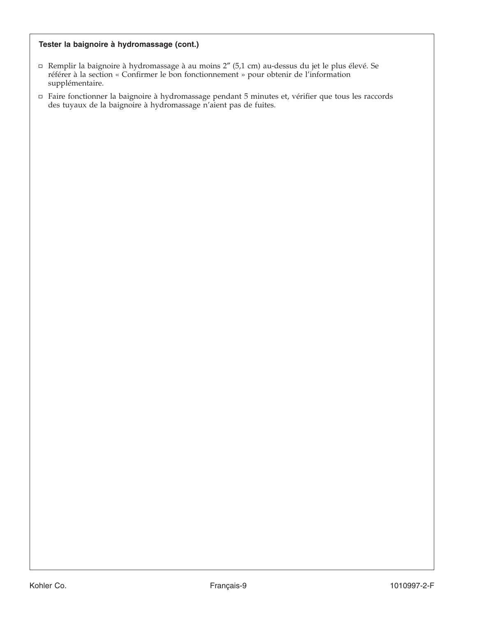#### **Tester la baignoire à hydromassage (cont.)**

- Remplir la baignoire à hydromassage à au moins 2″ (5,1 cm) au-dessus du jet le plus élevé. Se référer à la section « Confirmer le bon fonctionnement » pour obtenir de l'information supplémentaire.
- Faire fonctionner la baignoire à hydromassage pendant 5 minutes et, vérifier que tous les raccords des tuyaux de la baignoire à hydromassage n'aient pas de fuites.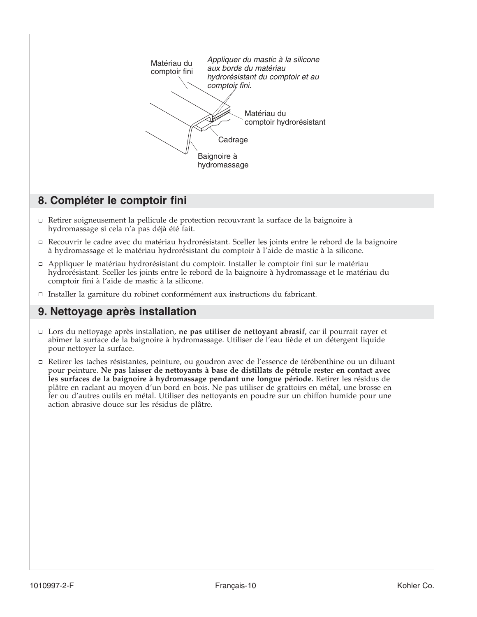

## **8. Compléter le comptoir fini**

- Retirer soigneusement la pellicule de protection recouvrant la surface de la baignoire à hydromassage si cela n'a pas déjà été fait.
- Recouvrir le cadre avec du matériau hydrorésistant. Sceller les joints entre le rebord de la baignoire à hydromassage et le matériau hydrorésistant du comptoir à l'aide de mastic à la silicone.
- Appliquer le matériau hydrorésistant du comptoir. Installer le comptoir fini sur le matériau hydrorésistant. Sceller les joints entre le rebord de la baignoire à hydromassage et le matériau du comptoir fini à l'aide de mastic à la silicone.
- Installer la garniture du robinet conformément aux instructions du fabricant.

## **9. Nettoyage après installation**

- Lors du nettoyage après installation, **ne pas utiliser de nettoyant abrasif**, car il pourrait rayer et abîmer la surface de la baignoire à hydromassage. Utiliser de l'eau tiède et un détergent liquide pour nettoyer la surface.
- Retirer les taches résistantes, peinture, ou goudron avec de l'essence de térébenthine ou un diluant pour peinture. **Ne pas laisser de nettoyants à base de distillats de pétrole rester en contact avec les surfaces de la baignoire à hydromassage pendant une longue période.** Retirer les résidus de plâtre en raclant au moyen d'un bord en bois. Ne pas utiliser de grattoirs en métal, une brosse en fer ou d'autres outils en métal. Utiliser des nettoyants en poudre sur un chiffon humide pour une action abrasive douce sur les résidus de plâtre.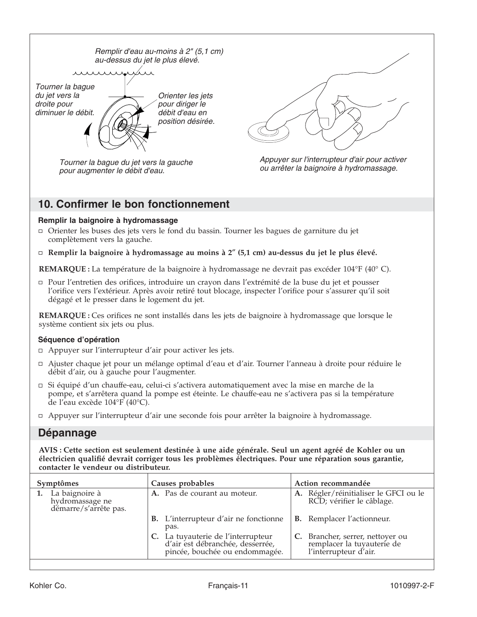

Tourner la bague du jet vers la gauche pour augmenter le débit d'eau.





## **10. Confirmer le bon fonctionnement**

#### **Remplir la baignoire à hydromassage**

- Orienter les buses des jets vers le fond du bassin. Tourner les bagues de garniture du jet complètement vers la gauche.
- **Remplir la baignoire à hydromassage au moins à 2**″ **(5,1 cm) au-dessus du jet le plus élevé.**

**REMARQUE :** La température de la baignoire à hydromassage ne devrait pas excéder 104°F (40° C).

Pour l'entretien des orifices, introduire un crayon dans l'extrémité de la buse du jet et pousser l'orifice vers l'extérieur. Après avoir retiré tout blocage, inspecter l'orifice pour s'assurer qu'il soit dégagé et le presser dans le logement du jet.

**REMARQUE :** Ces orifices ne sont installés dans les jets de baignoire à hydromassage que lorsque le système contient six jets ou plus.

#### **Séquence d'opération**

- □ Appuyer sur l'interrupteur d'air pour activer les jets.
- Ajuster chaque jet pour un mélange optimal d'eau et d'air. Tourner l'anneau à droite pour réduire le débit d'air, ou à gauche pour l'augmenter.
- Si équipé d'un chauffe-eau, celui-ci s'activera automatiquement avec la mise en marche de la pompe, et s'arrêtera quand la pompe est éteinte. Le chauffe-eau ne s'activera pas si la température de l'eau excède 104°F (40°C).
- Appuyer sur l'interrupteur d'air une seconde fois pour arrêter la baignoire à hydromassage.

### **Dépannage**

**AVIS : Cette section est seulement destinée à une aide générale. Seul un agent agréé de Kohler ou un électricien qualifié devrait corriger tous les problèmes électriques. Pour une réparation sous garantie, contacter le vendeur ou distributeur.**

| Symptômes                                                  | Causes probables                                                                                         | Action recommandée                                                                      |  |
|------------------------------------------------------------|----------------------------------------------------------------------------------------------------------|-----------------------------------------------------------------------------------------|--|
| La baignoire à<br>hydromassage ne<br>démarre/s'arrête pas. | A. Pas de courant au moteur.                                                                             | A. Régler/réinitialiser le GFCI ou le RCD; vérifier le câblage.                         |  |
|                                                            | L'interrupteur d'air ne fonctionne<br>В.<br>pas.                                                         | <b>B.</b> Remplacer l'actionneur.                                                       |  |
|                                                            | C. La tuyauterie de l'interrupteur<br>d'air est débranchée, desserrée,<br>pincée, bouchée ou endommagée. | C. Brancher, serrer, nettoyer ou<br>remplacer la tuyauterie de<br>l'interrupteur d'air. |  |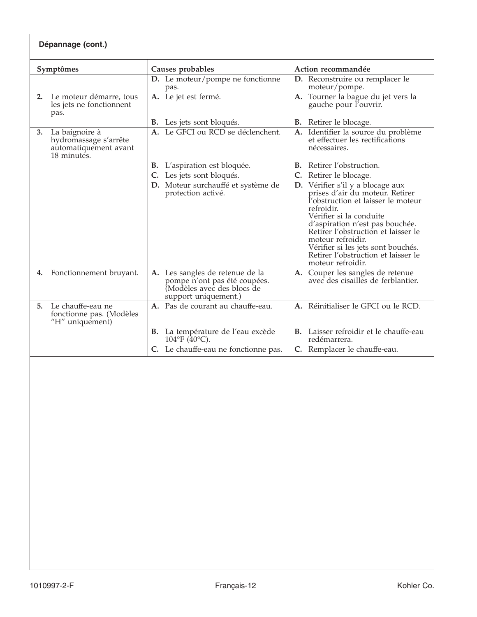| Dépannage (cont.)                                                                     |                                                                                                                      |                                                                                                                                                                                                                                                                                                                                                            |  |  |  |
|---------------------------------------------------------------------------------------|----------------------------------------------------------------------------------------------------------------------|------------------------------------------------------------------------------------------------------------------------------------------------------------------------------------------------------------------------------------------------------------------------------------------------------------------------------------------------------------|--|--|--|
| Symptômes                                                                             | Causes probables                                                                                                     | Action recommandée                                                                                                                                                                                                                                                                                                                                         |  |  |  |
|                                                                                       | D. Le moteur/pompe ne fonctionne<br>pas.                                                                             | D. Reconstruire ou remplacer le<br>moteur/pompe.                                                                                                                                                                                                                                                                                                           |  |  |  |
| Le moteur démarre, tous<br>2.<br>les jets ne fonctionnent<br>pas.                     | A. Le jet est fermé.                                                                                                 | A. Tourner la bague du jet vers la<br>gauche pour l'ouvrir.                                                                                                                                                                                                                                                                                                |  |  |  |
|                                                                                       | <b>B.</b> Les jets sont bloqués.                                                                                     | <b>B.</b> Retirer le blocage.                                                                                                                                                                                                                                                                                                                              |  |  |  |
| La baignoire à<br>3.<br>hydromassage s'arrête<br>automatiquement avant<br>18 minutes. | A. Le GFCI ou RCD se déclenchent.                                                                                    | A. Identifier la source du problème<br>et effectuer les rectifications<br>nécessaires.                                                                                                                                                                                                                                                                     |  |  |  |
|                                                                                       | L'aspiration est bloquée.<br>В.                                                                                      | Retirer l'obstruction.<br>В.                                                                                                                                                                                                                                                                                                                               |  |  |  |
|                                                                                       | Les jets sont bloqués.                                                                                               | C. Retirer le blocage.                                                                                                                                                                                                                                                                                                                                     |  |  |  |
|                                                                                       | D. Moteur surchauffé et système de<br>protection activé.                                                             | <b>D.</b> Vérifier s'il y a blocage aux<br>prises d'air du moteur. Retirer<br>l'obstruction et laisser le moteur<br>refroidir.<br>Vérifier si la conduite<br>d'aspiration n'est pas bouchée.<br>Retirer l'obstruction et laisser le<br>moteur refroidir.<br>Vérifier si les jets sont bouchés.<br>Retirer l'obstruction et laisser le<br>moteur refroidir. |  |  |  |
| Fonctionnement bruyant.<br>4.                                                         | A. Les sangles de retenue de la<br>pompe n'ont pas été coupées.<br>Modèles avec des blocs de<br>support uniquement.) | A. Couper les sangles de retenue<br>avec des cisailles de ferblantier.                                                                                                                                                                                                                                                                                     |  |  |  |
| Le chauffe-eau ne<br>5.<br>fonctionne pas. (Modèles<br>"H" uniquement)                | A. Pas de courant au chauffe-eau.                                                                                    | A. Réinitialiser le GFCI ou le RCD.                                                                                                                                                                                                                                                                                                                        |  |  |  |
|                                                                                       | B. La température de l'eau excède<br>$104^{\circ}F(40^{\circ}C)$ .                                                   | <b>B.</b> Laisser refroidir et le chauffe-eau<br>redémarrera.                                                                                                                                                                                                                                                                                              |  |  |  |
|                                                                                       | C. Le chauffe-eau ne fonctionne pas.                                                                                 | C. Remplacer le chauffe-eau.                                                                                                                                                                                                                                                                                                                               |  |  |  |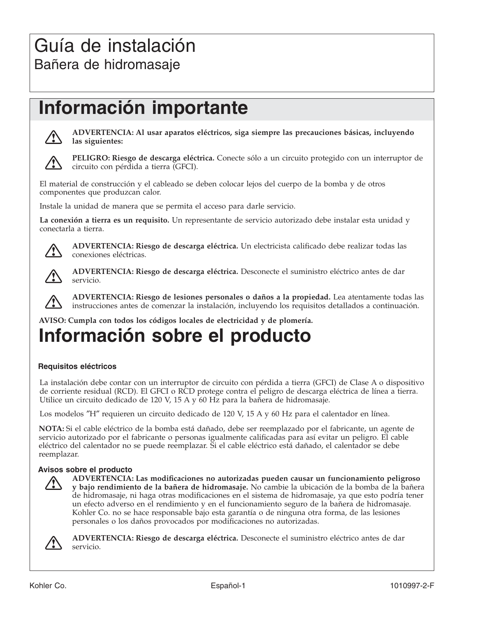# Guía de instalación Bañera de hidromasaje

# **Información importante**



**ADVERTENCIA: Al usar aparatos eléctricos, siga siempre las precauciones básicas, incluyendo las siguientes:**



**PELIGRO: Riesgo de descarga eléctrica.** Conecte sólo a un circuito protegido con un interruptor de circuito con pérdida a tierra (GFCI).

El material de construcción y el cableado se deben colocar lejos del cuerpo de la bomba y de otros componentes que produzcan calor.

Instale la unidad de manera que se permita el acceso para darle servicio.

**La conexión a tierra es un requisito.** Un representante de servicio autorizado debe instalar esta unidad y conectarla a tierra.



**ADVERTENCIA: Riesgo de descarga eléctrica.** Un electricista calificado debe realizar todas las conexiones eléctricas.



**ADVERTENCIA: Riesgo de descarga eléctrica.** Desconecte el suministro eléctrico antes de dar servicio.



**ADVERTENCIA: Riesgo de lesiones personales o daños a la propiedad.** Lea atentamente todas las instrucciones antes de comenzar la instalación, incluyendo los requisitos detallados a continuación.

**AVISO: Cumpla con todos los códigos locales de electricidad y de plomería.**

# **Información sobre el producto**

#### **Requisitos eléctricos**

La instalación debe contar con un interruptor de circuito con pérdida a tierra (GFCI) de Clase A o dispositivo de corriente residual (RCD). El GFCI o RCD protege contra el peligro de descarga eléctrica de línea a tierra. Utilice un circuito dedicado de 120 V, 15 A y 60 Hz para la bañera de hidromasaje.

Los modelos ″H″ requieren un circuito dedicado de 120 V, 15 A y 60 Hz para el calentador en línea.

**NOTA:** Si el cable eléctrico de la bomba está dañado, debe ser reemplazado por el fabricante, un agente de servicio autorizado por el fabricante o personas igualmente calificadas para así evitar un peligro. El cable eléctrico del calentador no se puede reemplazar. Si el cable eléctrico está dañado, el calentador se debe reemplazar.

#### **Avisos sobre el producto**



**ADVERTENCIA: Las modificaciones no autorizadas pueden causar un funcionamiento peligroso y bajo rendimiento de la bañera de hidromasaje.** No cambie la ubicación de la bomba de la bañera de hidromasaje, ni haga otras modificaciones en el sistema de hidromasaje, ya que esto podría tener un efecto adverso en el rendimiento y en el funcionamiento seguro de la bañera de hidromasaje. Kohler Co. no se hace responsable bajo esta garantía o de ninguna otra forma, de las lesiones personales o los daños provocados por modificaciones no autorizadas.



**ADVERTENCIA: Riesgo de descarga eléctrica.** Desconecte el suministro eléctrico antes de dar servicio.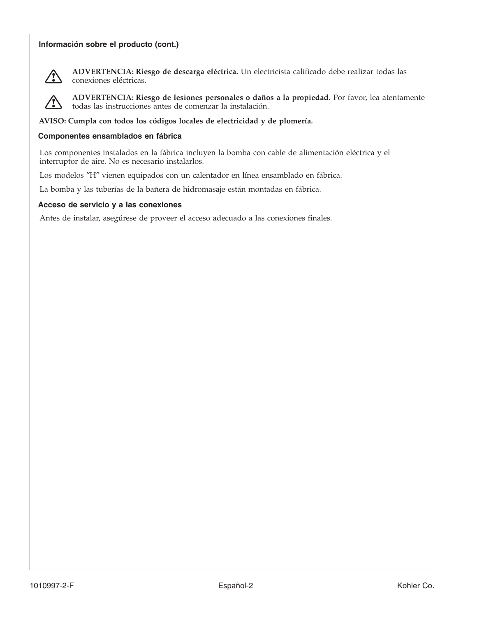#### **Información sobre el producto (cont.)**



**ADVERTENCIA: Riesgo de descarga eléctrica.** Un electricista calificado debe realizar todas las conexiones eléctricas.



**ADVERTENCIA: Riesgo de lesiones personales o daños a la propiedad.** Por favor, lea atentamente todas las instrucciones antes de comenzar la instalación.

**AVISO: Cumpla con todos los códigos locales de electricidad y de plomería.**

#### **Componentes ensamblados en fábrica**

Los componentes instalados en la fábrica incluyen la bomba con cable de alimentación eléctrica y el interruptor de aire. No es necesario instalarlos.

Los modelos ″H″ vienen equipados con un calentador en línea ensamblado en fábrica.

La bomba y las tuberías de la bañera de hidromasaje están montadas en fábrica.

#### **Acceso de servicio y a las conexiones**

Antes de instalar, asegúrese de proveer el acceso adecuado a las conexiones finales.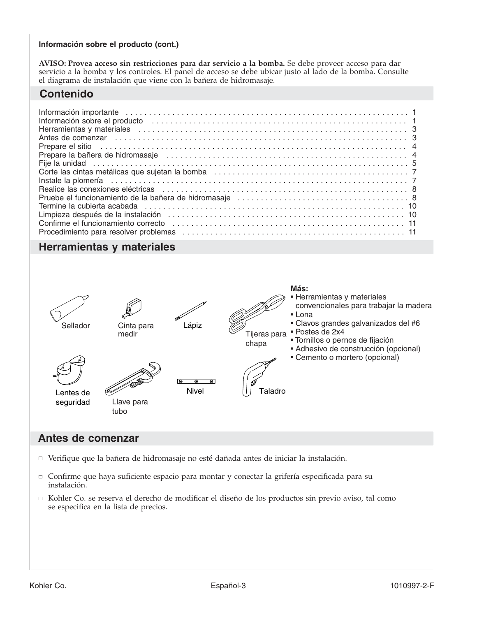#### **Información sobre el producto (cont.)**

**AVISO: Provea acceso sin restricciones para dar servicio a la bomba.** Se debe proveer acceso para dar servicio a la bomba y los controles. El panel de acceso se debe ubicar justo al lado de la bomba. Consulte el diagrama de instalación que viene con la bañera de hidromasaje.

## **Contenido**

| Herramientas y materiales (etc.) (etc.) (etc.) (etc.) (etc.) (etc.) (etc.) (etc.) (etc.) (etc.) (etc.) (etc.) (etc.) (etc.) (etc.) (etc.) (etc.) (etc.) (etc.) (etc.) (etc.) (etc.) (etc.) (etc.) (etc.) (etc.) (etc.) (etc.)   |  |
|---------------------------------------------------------------------------------------------------------------------------------------------------------------------------------------------------------------------------------|--|
| Antes de comenzar entrancement contrare contrare contrare contrare contrare contrare contrare contrare contrare contrare contrare contrare contrare contrare contrare contrare contrare contrare contrare contrare contrare co  |  |
| Prepare el sitio en contra contra contra el sitio de la contra de la contra de la contra de la contra de la contra de la contra de la contra de la contra de la contra de la contra de la contra de la contra de la contra de   |  |
| Prepare la bañera de hidromasaje (allermana allermana allermana allermana allermana allermana allermana allerm                                                                                                                  |  |
|                                                                                                                                                                                                                                 |  |
|                                                                                                                                                                                                                                 |  |
| Instale la plomería entre a construction de la plomería de la plomería de la plomería de la plomería de la plo                                                                                                                  |  |
|                                                                                                                                                                                                                                 |  |
|                                                                                                                                                                                                                                 |  |
| Pruebe el funcionamiento de la bañera de hidromasaje<br>Termine la cubierta acabada<br>Internacia de la cubierta acabada<br>Internacia de hidromasaje<br>Internacia de la cubierta acabada<br>Internacia de la cubierta acabada |  |
| Limpieza después de la instalación en el entre entre entre entre entre en el angleto de la instalación en el e                                                                                                                  |  |
| Confirme el funcionamiento correcto entre el material de la contenta de la confirme el funcionamiento correcto entre el material de la contenta de la contenta de la contenta de la contenta de la contenta de la contenta de   |  |
|                                                                                                                                                                                                                                 |  |

## **Herramientas y materiales**



### **Antes de comenzar**

- Verifique que la bañera de hidromasaje no esté dañada antes de iniciar la instalación.
- Confirme que haya suficiente espacio para montar y conectar la grifería especificada para su instalación.
- Kohler Co. se reserva el derecho de modificar el diseño de los productos sin previo aviso, tal como se especifica en la lista de precios.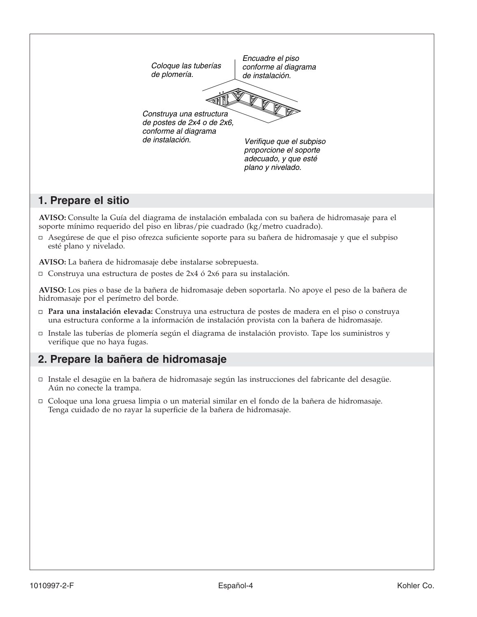

## **1. Prepare el sitio**

**AVISO:** Consulte la Guía del diagrama de instalación embalada con su bañera de hidromasaje para el soporte mínimo requerido del piso en libras/pie cuadrado (kg/metro cuadrado).

Asegúrese de que el piso ofrezca suficiente soporte para su bañera de hidromasaje y que el subpiso esté plano y nivelado.

**AVISO:** La bañera de hidromasaje debe instalarse sobrepuesta.

 $\Box$  Construya una estructura de postes de 2x4 ó 2x6 para su instalación.

**AVISO:** Los pies o base de la bañera de hidromasaje deben soportarla. No apoye el peso de la bañera de hidromasaje por el perímetro del borde.

- **Para una instalación elevada:** Construya una estructura de postes de madera en el piso o construya una estructura conforme a la información de instalación provista con la bañera de hidromasaje.
- □ Instale las tuberías de plomería según el diagrama de instalación provisto. Tape los suministros y verifique que no haya fugas.

## **2. Prepare la bañera de hidromasaje**

- Instale el desagüe en la bañera de hidromasaje según las instrucciones del fabricante del desagüe. Aún no conecte la trampa.
- Coloque una lona gruesa limpia o un material similar en el fondo de la bañera de hidromasaje. Tenga cuidado de no rayar la superficie de la bañera de hidromasaje.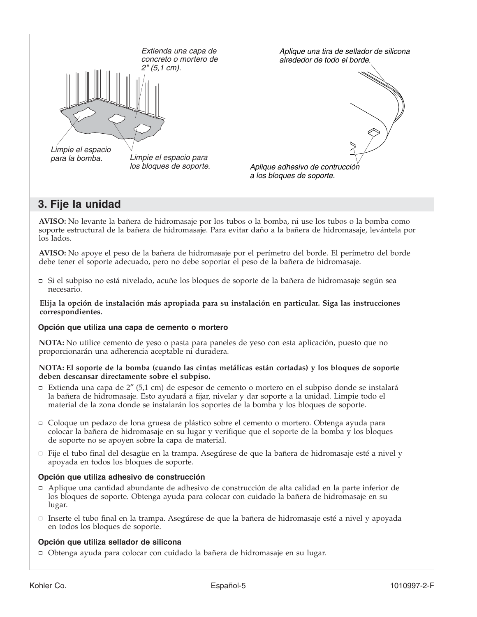

## **3. Fije la unidad**

**AVISO:** No levante la bañera de hidromasaje por los tubos o la bomba, ni use los tubos o la bomba como soporte estructural de la bañera de hidromasaje. Para evitar daño a la bañera de hidromasaje, levántela por los lados.

**AVISO:** No apoye el peso de la bañera de hidromasaje por el perímetro del borde. El perímetro del borde debe tener el soporte adecuado, pero no debe soportar el peso de la bañera de hidromasaje.

Si el subpiso no está nivelado, acuñe los bloques de soporte de la bañera de hidromasaje según sea necesario.

**Elija la opción de instalación más apropiada para su instalación en particular. Siga las instrucciones correspondientes.**

#### **Opción que utiliza una capa de cemento o mortero**

**NOTA:** No utilice cemento de yeso o pasta para paneles de yeso con esta aplicación, puesto que no proporcionarán una adherencia aceptable ni duradera.

#### **NOTA: El soporte de la bomba (cuando las cintas metálicas están cortadas) y los bloques de soporte deben descansar directamente sobre el subpiso.**

- Extienda una capa de 2″ (5,1 cm) de espesor de cemento o mortero en el subpiso donde se instalará la bañera de hidromasaje. Esto ayudará a fijar, nivelar y dar soporte a la unidad. Limpie todo el material de la zona donde se instalarán los soportes de la bomba y los bloques de soporte.
- Coloque un pedazo de lona gruesa de plástico sobre el cemento o mortero. Obtenga ayuda para colocar la bañera de hidromasaje en su lugar y verifique que el soporte de la bomba y los bloques de soporte no se apoyen sobre la capa de material.
- Fije el tubo final del desagüe en la trampa. Asegúrese de que la bañera de hidromasaje esté a nivel y apoyada en todos los bloques de soporte.

#### **Opción que utiliza adhesivo de construcción**

- Aplique una cantidad abundante de adhesivo de construcción de alta calidad en la parte inferior de los bloques de soporte. Obtenga ayuda para colocar con cuidado la bañera de hidromasaje en su lugar.
- Inserte el tubo final en la trampa. Asegúrese de que la bañera de hidromasaje esté a nivel y apoyada en todos los bloques de soporte.

#### **Opción que utiliza sellador de silicona**

Obtenga ayuda para colocar con cuidado la bañera de hidromasaje en su lugar.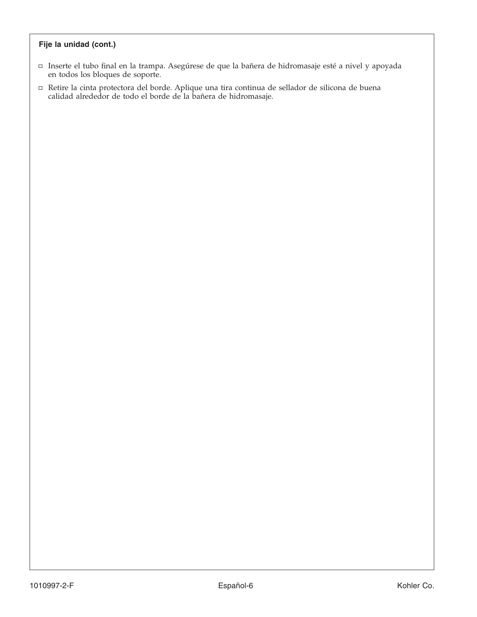#### **Fije la unidad (cont.)**

- Inserte el tubo final en la trampa. Asegúrese de que la bañera de hidromasaje esté a nivel y apoyada en todos los bloques de soporte.
- Retire la cinta protectora del borde. Aplique una tira continua de sellador de silicona de buena calidad alrededor de todo el borde de la bañera de hidromasaje.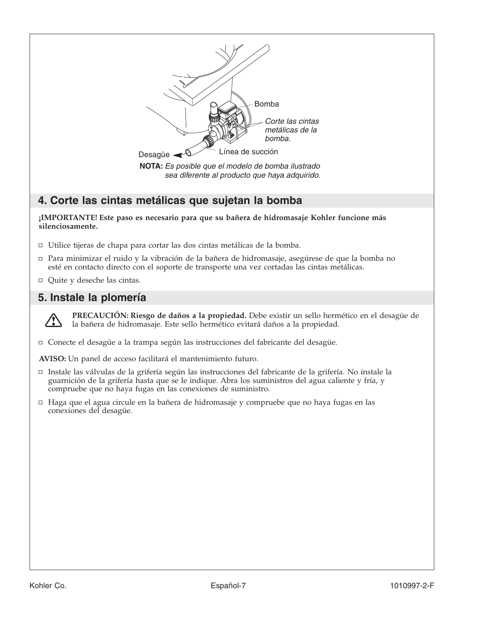

## **4. Corte las cintas metálicas que sujetan la bomba**

#### **¡IMPORTANTE! Este paso es necesario para que su bañera de hidromasaje Kohler funcione más silenciosamente.**

- Utilice tijeras de chapa para cortar las dos cintas metálicas de la bomba.
- Para minimizar el ruido y la vibración de la bañera de hidromasaje, asegúrese de que la bomba no esté en contacto directo con el soporte de transporte una vez cortadas las cintas metálicas.
- Quite y deseche las cintas.

## **5. Instale la plomería**



**PRECAUCIÓN: Riesgo de daños a la propiedad.** Debe existir un sello hermético en el desagüe de la bañera de hidromasaje. Este sello hermético evitará daños a la propiedad.

Conecte el desagüe a la trampa según las instrucciones del fabricante del desagüe.

**AVISO:** Un panel de acceso facilitará el mantenimiento futuro.

- Instale las válvulas de la grifería según las instrucciones del fabricante de la grifería. No instale la guarnición de la grifería hasta que se le indique. Abra los suministros del agua caliente y fría, y compruebe que no haya fugas en las conexiones de suministro.
- □ Haga que el agua circule en la bañera de hidromasaje y compruebe que no haya fugas en las conexiones del desagüe.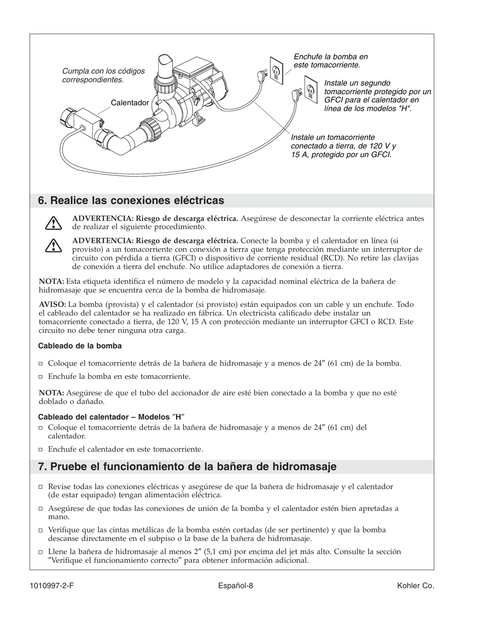

## **6. Realice las conexiones eléctricas**



**ADVERTENCIA: Riesgo de descarga eléctrica.** Asegúrese de desconectar la corriente eléctrica antes de realizar el siguiente procedimiento.

**ADVERTENCIA: Riesgo de descarga eléctrica.** Conecte la bomba y el calentador en línea (si provisto) a un tomacorriente con conexión a tierra que tenga protección mediante un interruptor de circuito con pérdida a tierra (GFCI) o dispositivo de corriente residual (RCD). No retire las clavijas de conexión a tierra del enchufe. No utilice adaptadores de conexión a tierra.

**NOTA:** Esta etiqueta identifica el número de modelo y la capacidad nominal eléctrica de la bañera de hidromasaje que se encuentra cerca de la bomba de hidromasaje.

**AVISO:** La bomba (provista) y el calentador (si provisto) están equipados con un cable y un enchufe. Todo el cableado del calentador se ha realizado en fábrica. Un electricista calificado debe instalar un tomacorriente conectado a tierra, de 120 V, 15 A con protección mediante un interruptor GFCI o RCD. Este circuito no debe tener ninguna otra carga.

#### **Cableado de la bomba**

- Coloque el tomacorriente detrás de la bañera de hidromasaje y a menos de 24″ (61 cm) de la bomba.
- Enchufe la bomba en este tomacorriente.

**NOTA:** Asegúrese de que el tubo del accionador de aire esté bien conectado a la bomba y que no esté doblado o dañado.

#### **Cableado del calentador – Modelos** ″**H**″

- Coloque el tomacorriente detrás de la bañera de hidromasaje y a menos de 24″ (61 cm) del calentador.
- Enchufe el calentador en este tomacorriente.

## **7. Pruebe el funcionamiento de la bañera de hidromasaje**

- Revise todas las conexiones eléctricas y asegúrese de que la bañera de hidromasaje y el calentador (de estar equipado) tengan alimentación eléctrica.
- Asegúrese de que todas las conexiones de unión de la bomba y el calentador estén bien apretadas a mano.
- Verifique que las cintas metálicas de la bomba estén cortadas (de ser pertinente) y que la bomba descanse directamente en el subpiso o la base de la bañera de hidromasaje.
- Llene la bañera de hidromasaje al menos 2″ (5,1 cm) por encima del jet más alto. Consulte la sección ″Verifique el funcionamiento correcto″ para obtener información adicional.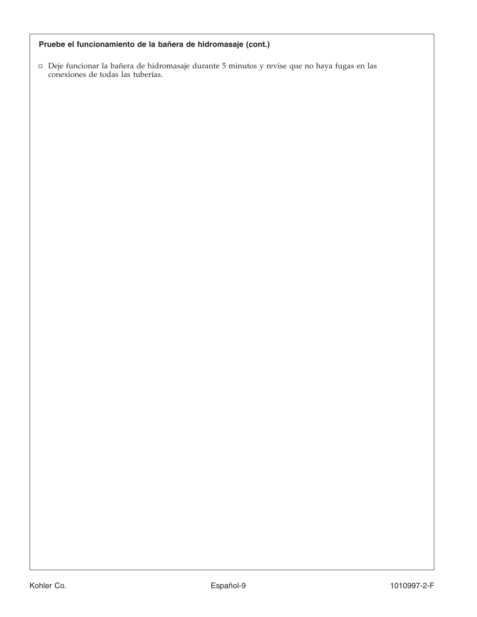### **Pruebe el funcionamiento de la bañera de hidromasaje (cont.)**

Deje funcionar la bañera de hidromasaje durante 5 minutos y revise que no haya fugas en las conexiones de todas las tuberías.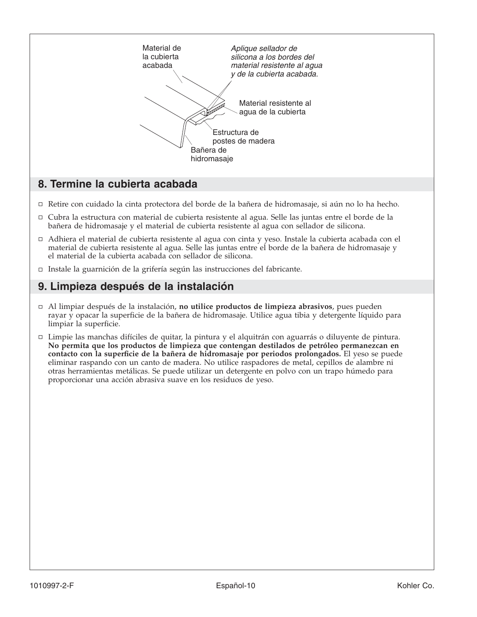

## **8. Termine la cubierta acabada**

- Retire con cuidado la cinta protectora del borde de la bañera de hidromasaje, si aún no lo ha hecho.
- Cubra la estructura con material de cubierta resistente al agua. Selle las juntas entre el borde de la bañera de hidromasaje y el material de cubierta resistente al agua con sellador de silicona.
- Adhiera el material de cubierta resistente al agua con cinta y yeso. Instale la cubierta acabada con el material de cubierta resistente al agua. Selle las juntas entre el borde de la bañera de hidromasaje y el material de la cubierta acabada con sellador de silicona.
- Instale la guarnición de la grifería según las instrucciones del fabricante.

## **9. Limpieza después de la instalación**

- Al limpiar después de la instalación, **no utilice productos de limpieza abrasivos**, pues pueden rayar y opacar la superficie de la bañera de hidromasaje. Utilice agua tibia y detergente líquido para limpiar la superficie.
- Limpie las manchas difíciles de quitar, la pintura y el alquitrán con aguarrás o diluyente de pintura. **No permita que los productos de limpieza que contengan destilados de petróleo permanezcan en contacto con la superficie de la bañera de hidromasaje por periodos prolongados.** El yeso se puede eliminar raspando con un canto de madera. No utilice raspadores de metal, cepillos de alambre ni otras herramientas metálicas. Se puede utilizar un detergente en polvo con un trapo húmedo para proporcionar una acción abrasiva suave en los residuos de yeso.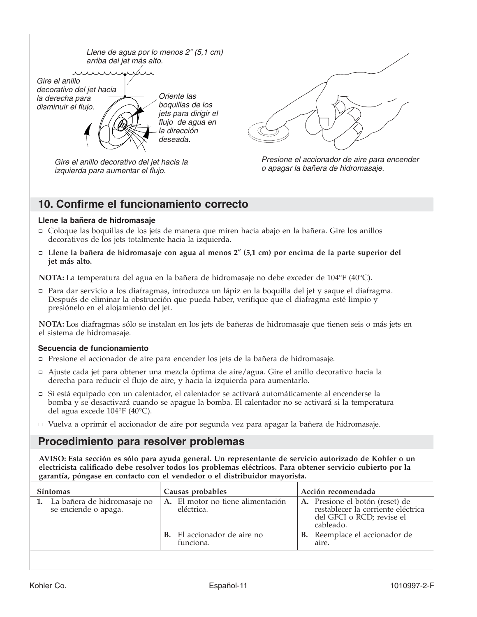Llene de agua por lo menos 2" (5,1 cm) arriba del jet más alto.



Oriente las boquillas de los jets para dirigir el flujo de agua en la dirección deseada.

Gire el anillo decorativo del jet hacia la izquierda para aumentar el flujo.





## **10. Confirme el funcionamiento correcto**

#### **Llene la bañera de hidromasaje**

- Coloque las boquillas de los jets de manera que miren hacia abajo en la bañera. Gire los anillos decorativos de los jets totalmente hacia la izquierda.
- **Llene la bañera de hidromasaje con agua al menos 2**″ **(5,1 cm) por encima de la parte superior del jet más alto.**

**NOTA:** La temperatura del agua en la bañera de hidromasaje no debe exceder de 104°F (40°C).

Para dar servicio a los diafragmas, introduzca un lápiz en la boquilla del jet y saque el diafragma. Después de eliminar la obstrucción que pueda haber, verifique que el diafragma esté limpio y presiónelo en el alojamiento del jet.

**NOTA:** Los diafragmas sólo se instalan en los jets de bañeras de hidromasaje que tienen seis o más jets en el sistema de hidromasaje.

#### **Secuencia de funcionamiento**

- Presione el accionador de aire para encender los jets de la bañera de hidromasaje.
- Ajuste cada jet para obtener una mezcla óptima de aire/agua. Gire el anillo decorativo hacia la derecha para reducir el flujo de aire, y hacia la izquierda para aumentarlo.
- Si está equipado con un calentador, el calentador se activará automáticamente al encenderse la bomba y se desactivará cuando se apague la bomba. El calentador no se activará si la temperatura del agua excede 104°F (40°C).
- Vuelva a oprimir el accionador de aire por segunda vez para apagar la bañera de hidromasaje.

## **Procedimiento para resolver problemas**

**AVISO: Esta sección es sólo para ayuda general. Un representante de servicio autorizado de Kohler o un electricista calificado debe resolver todos los problemas eléctricos. Para obtener servicio cubierto por la garantía, póngase en contacto con el vendedor o el distribuidor mayorista.**

| <b>Síntomas</b>                                        | Causas probables |                                                 | Acción recomendada |                                                                                                                 |
|--------------------------------------------------------|------------------|-------------------------------------------------|--------------------|-----------------------------------------------------------------------------------------------------------------|
| 1. La bañera de hidromasaje no<br>se enciende o apaga. |                  | A. El motor no tiene alimentación<br>eléctrica. |                    | A. Presione el botón (reset) de<br>restablecer la corriente eléctrica<br>del GFCI o RCD; revise el<br>cableado. |
|                                                        |                  | <b>B.</b> El accionador de aire no<br>funciona. |                    | <b>B.</b> Reemplace el accionador de<br>aire.                                                                   |
|                                                        |                  |                                                 |                    |                                                                                                                 |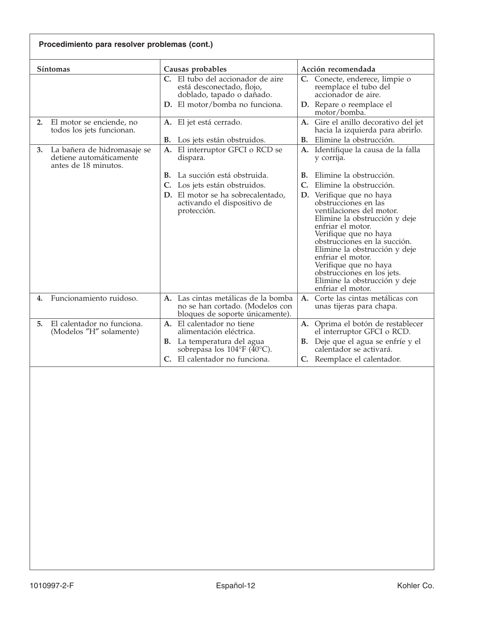| Procedimiento para resolver problemas (cont.)                                        |                                                                                                           |                                                                                                                                                                                                                                                                                                                                                                |  |  |
|--------------------------------------------------------------------------------------|-----------------------------------------------------------------------------------------------------------|----------------------------------------------------------------------------------------------------------------------------------------------------------------------------------------------------------------------------------------------------------------------------------------------------------------------------------------------------------------|--|--|
| <b>Síntomas</b>                                                                      | Causas probables                                                                                          | Acción recomendada                                                                                                                                                                                                                                                                                                                                             |  |  |
|                                                                                      | C. El tubo del accionador de aire<br>está desconectado, flojo,<br>doblado, tapado o dañado.               | C. Conecte, enderece, limpie o<br>reemplace el tubo del<br>accionador de aire.                                                                                                                                                                                                                                                                                 |  |  |
|                                                                                      | D. El motor/bomba no funciona.                                                                            | D. Repare o reemplace el<br>motor/bomba.                                                                                                                                                                                                                                                                                                                       |  |  |
| El motor se enciende, no<br>2.<br>todos los jets funcionan.                          | A. El jet está cerrado.                                                                                   | A. Gire el anillo decorativo del jet<br>hacia la izquierda para abrirlo.                                                                                                                                                                                                                                                                                       |  |  |
|                                                                                      | Los jets están obstruidos.<br>В.                                                                          | Elimine la obstrucción.<br>В.                                                                                                                                                                                                                                                                                                                                  |  |  |
| La bañera de hidromasaje se<br>3.<br>detiene automáticamente<br>antes de 18 minutos. | A. El interruptor GFCI o RCD se<br>dispara.                                                               | A. Identifique la causa de la falla<br>y corrija.                                                                                                                                                                                                                                                                                                              |  |  |
|                                                                                      | La succión está obstruida.<br>В.                                                                          | Elimine la obstrucción.<br>В.                                                                                                                                                                                                                                                                                                                                  |  |  |
|                                                                                      | Los jets están obstruidos.<br>C.                                                                          | $\mathsf{C}$ .<br>Elimine la obstrucción.                                                                                                                                                                                                                                                                                                                      |  |  |
|                                                                                      | D. El motor se ha sobrecalentado,<br>activando el dispositivo de<br>protección.                           | D. Verifique que no haya<br>obstrucciones en las<br>ventilaciones del motor.<br>Elimine la obstrucción y deje<br>enfriar el motor.<br>Verifique que no haya<br>obstrucciones en la succión.<br>Elimine la obstrucción y deje<br>enfriar el motor.<br>Verifique que no haya<br>obstrucciones en los jets.<br>Elimine la obstrucción y deje<br>enfriar el motor. |  |  |
| Funcionamiento ruidoso.<br>4.                                                        | A. Las cintas metálicas de la bomba<br>no se han cortado. (Modelos con<br>bloques de soporte únicamente). | Corte las cintas metálicas con<br>A.<br>unas tijeras para chapa.                                                                                                                                                                                                                                                                                               |  |  |
| El calentador no funciona.<br>5.<br>(Modelos "H" solamente)                          | A. El calentador no tiene<br>alimentación eléctrica.                                                      | A. Oprima el botón de restablecer<br>el interruptor GFCI o RCD.                                                                                                                                                                                                                                                                                                |  |  |
|                                                                                      | <b>B.</b> La temperatura del agua<br>sobrepasa los $104^{\circ}F(40^{\circ}C)$ .                          | <b>B.</b> Deje que el agua se enfríe y el<br>calentador se activará.                                                                                                                                                                                                                                                                                           |  |  |
|                                                                                      | El calentador no funciona.<br>Ċ.                                                                          | C. Reemplace el calentador.                                                                                                                                                                                                                                                                                                                                    |  |  |